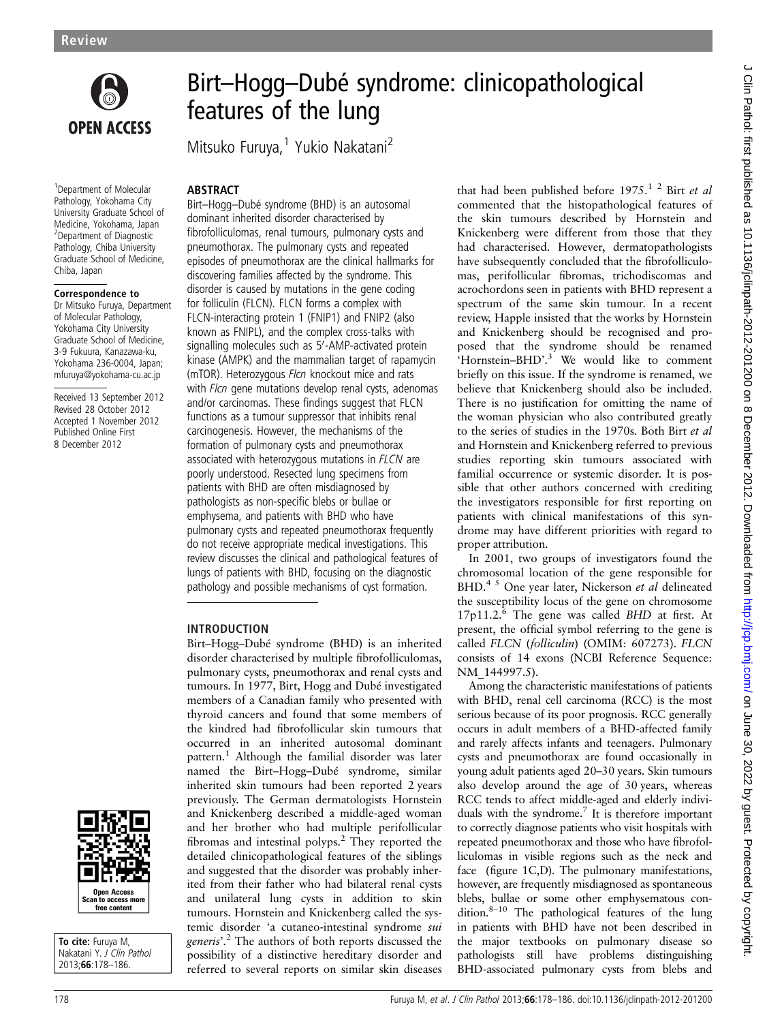

Birt–Hogg–Dubé syndrome: clinicopathological features of the lung

Mitsuko Furuya,<sup>1</sup> Yukio Nakatani<sup>2</sup>

### ABSTRACT Birt–Hogg–Dubé syndrome (BHD) is an autosomal

1 Department of Molecular Pathology, Yokohama City University Graduate School of Medicine, Yokohama, Japan 2 Department of Diagnostic Pathology, Chiba University Graduate School of Medicine, Chiba, Japan

### Correspondence to

Dr Mitsuko Furuya, Department of Molecular Pathology, Yokohama City University Graduate School of Medicine, 3-9 Fukuura, Kanazawa-ku, Yokohama 236-0004, Japan; mfuruya@yokohama-cu.ac.jp

Received 13 September 2012 Revised 28 October 2012 Accepted 1 November 2012 Published Online First 8 December 2012



To cite: Furuya M, Nakatani Y. J Clin Pathol 2013;66:178–186.

dominant inherited disorder characterised by fibrofolliculomas, renal tumours, pulmonary cysts and pneumothorax. The pulmonary cysts and repeated episodes of pneumothorax are the clinical hallmarks for discovering families affected by the syndrome. This disorder is caused by mutations in the gene coding for folliculin (FLCN). FLCN forms a complex with FLCN-interacting protein 1 (FNIP1) and FNIP2 (also known as FNIPL), and the complex cross-talks with signalling molecules such as 5'-AMP-activated protein kinase (AMPK) and the mammalian target of rapamycin (mTOR). Heterozygous Flcn knockout mice and rats with *Flcn* gene mutations develop renal cysts, adenomas and/or carcinomas. These findings suggest that FLCN functions as a tumour suppressor that inhibits renal carcinogenesis. However, the mechanisms of the formation of pulmonary cysts and pneumothorax associated with heterozygous mutations in FLCN are poorly understood. Resected lung specimens from patients with BHD are often misdiagnosed by pathologists as non-specific blebs or bullae or emphysema, and patients with BHD who have pulmonary cysts and repeated pneumothorax frequently do not receive appropriate medical investigations. This review discusses the clinical and pathological features of lungs of patients with BHD, focusing on the diagnostic pathology and possible mechanisms of cyst formation.

## INTRODUCTION

Birt–Hogg–Dubé syndrome (BHD) is an inherited disorder characterised by multiple fibrofolliculomas, pulmonary cysts, pneumothorax and renal cysts and tumours. In 1977, Birt, Hogg and Dubé investigated members of a Canadian family who presented with thyroid cancers and found that some members of the kindred had fibrofollicular skin tumours that occurred in an inherited autosomal dominant pattern.<sup>1</sup> Although the familial disorder was later named the Birt–Hogg–Dubé syndrome, similar inherited skin tumours had been reported 2 years previously. The German dermatologists Hornstein and Knickenberg described a middle-aged woman and her brother who had multiple perifollicular fibromas and intestinal polyps.2 They reported the detailed clinicopathological features of the siblings and suggested that the disorder was probably inherited from their father who had bilateral renal cysts and unilateral lung cysts in addition to skin tumours. Hornstein and Knickenberg called the systemic disorder 'a cutaneo-intestinal syndrome sui generis'.<sup>2</sup> The authors of both reports discussed the<br>possibility of a distinctive bereditary disorder and possibility of a distinctive hereditary disorder and referred to several reports on similar skin diseases

that had been published before  $1975$ .<sup>1</sup> <sup>2</sup> Birt et al commented that the histopathological features of the skin tumours described by Hornstein and Knickenberg were different from those that they had characterised. However, dermatopathologists have subsequently concluded that the fibrofolliculomas, perifollicular fibromas, trichodiscomas and acrochordons seen in patients with BHD represent a spectrum of the same skin tumour. In a recent review, Happle insisted that the works by Hornstein and Knickenberg should be recognised and proposed that the syndrome should be renamed 'Hornstein-BHD'.<sup>3</sup> We would like to comment briefly on this issue. If the syndrome is renamed, we believe that Knickenberg should also be included. There is no justification for omitting the name of the woman physician who also contributed greatly to the series of studies in the 1970s. Both Birt et al and Hornstein and Knickenberg referred to previous studies reporting skin tumours associated with familial occurrence or systemic disorder. It is possible that other authors concerned with crediting the investigators responsible for first reporting on patients with clinical manifestations of this syndrome may have different priorities with regard to proper attribution.

In 2001, two groups of investigators found the chromosomal location of the gene responsible for BHD.<sup>4 5</sup> One year later, Nickerson et al delineated the susceptibility locus of the gene on chromosome 17p11.2.6 The gene was called BHD at first. At present, the official symbol referring to the gene is called FLCN (folliculin) (OMIM: 607273). FLCN consists of 14 exons (NCBI Reference Sequence: NM\_144997.5).

Among the characteristic manifestations of patients with BHD, renal cell carcinoma (RCC) is the most serious because of its poor prognosis. RCC generally occurs in adult members of a BHD-affected family and rarely affects infants and teenagers. Pulmonary cysts and pneumothorax are found occasionally in young adult patients aged 20–30 years. Skin tumours also develop around the age of 30 years, whereas RCC tends to affect middle-aged and elderly individuals with the syndrome.<sup>7</sup> It is therefore important to correctly diagnose patients who visit hospitals with repeated pneumothorax and those who have fibrofolliculomas in visible regions such as the neck and face (figure 1C,D). The pulmonary manifestations, however, are frequently misdiagnosed as spontaneous blebs, bullae or some other emphysematous condition. $8-10$  The pathological features of the lung in patients with BHD have not been described in the major textbooks on pulmonary disease so pathologists still have problems distinguishing BHD-associated pulmonary cysts from blebs and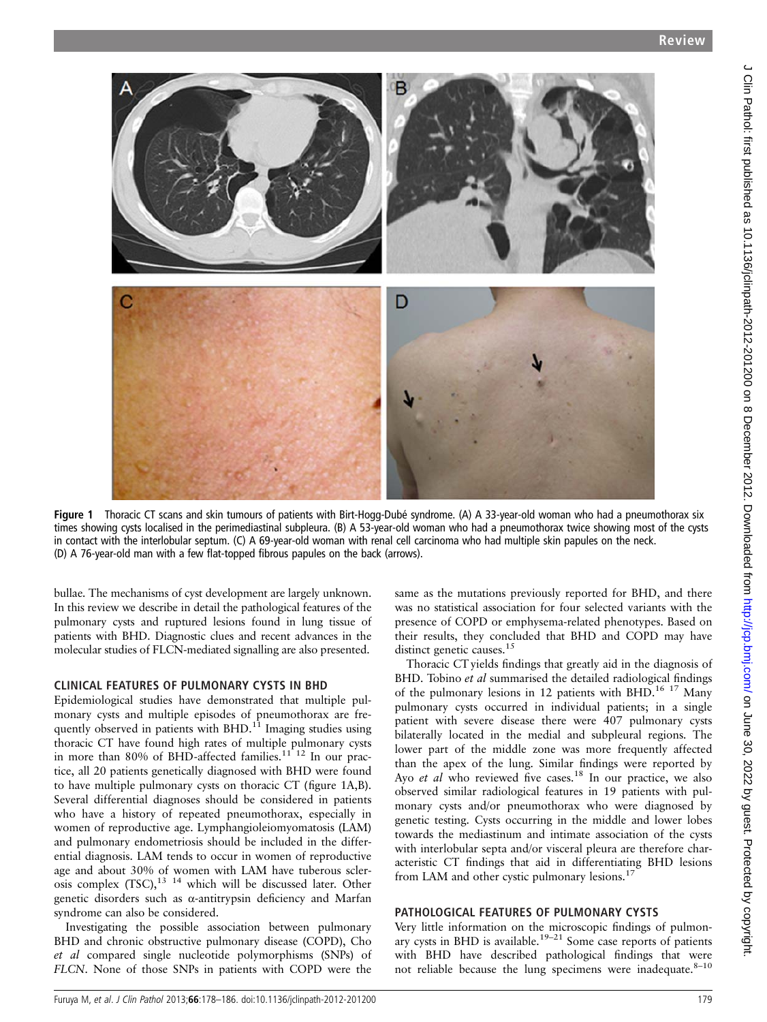

Figure 1 Thoracic CT scans and skin tumours of patients with Birt-Hogg-Dubé syndrome. (A) A 33-year-old woman who had a pneumothorax six times showing cysts localised in the perimediastinal subpleura. (B) A 53-year-old woman who had a pneumothorax twice showing most of the cysts in contact with the interlobular septum. (C) A 69-year-old woman with renal cell carcinoma who had multiple skin papules on the neck. (D) A 76-year-old man with a few flat-topped fibrous papules on the back (arrows).

bullae. The mechanisms of cyst development are largely unknown. In this review we describe in detail the pathological features of the pulmonary cysts and ruptured lesions found in lung tissue of patients with BHD. Diagnostic clues and recent advances in the molecular studies of FLCN-mediated signalling are also presented.

## CLINICAL FEATURES OF PULMONARY CYSTS IN BHD

Epidemiological studies have demonstrated that multiple pulmonary cysts and multiple episodes of pneumothorax are frequently observed in patients with  $BHD<sup>11</sup>$  Imaging studies using thoracic CT have found high rates of multiple pulmonary cysts in more than 80% of BHD-affected families.<sup>11 12</sup> In our practice, all 20 patients genetically diagnosed with BHD were found to have multiple pulmonary cysts on thoracic CT (figure 1A,B). Several differential diagnoses should be considered in patients who have a history of repeated pneumothorax, especially in women of reproductive age. Lymphangioleiomyomatosis (LAM) and pulmonary endometriosis should be included in the differential diagnosis. LAM tends to occur in women of reproductive age and about 30% of women with LAM have tuberous sclerosis complex  $(TSC)$ ,<sup>13 14</sup> which will be discussed later. Other genetic disorders such as α-antitrypsin deficiency and Marfan syndrome can also be considered.

Investigating the possible association between pulmonary BHD and chronic obstructive pulmonary disease (COPD), Cho et al compared single nucleotide polymorphisms (SNPs) of FLCN. None of those SNPs in patients with COPD were the

same as the mutations previously reported for BHD, and there was no statistical association for four selected variants with the presence of COPD or emphysema-related phenotypes. Based on their results, they concluded that BHD and COPD may have distinct genetic causes.<sup>15</sup>

Thoracic CT yields findings that greatly aid in the diagnosis of BHD. Tobino et al summarised the detailed radiological findings of the pulmonary lesions in 12 patients with BHD.<sup>16 17</sup> Many pulmonary cysts occurred in individual patients; in a single patient with severe disease there were 407 pulmonary cysts bilaterally located in the medial and subpleural regions. The lower part of the middle zone was more frequently affected than the apex of the lung. Similar findings were reported by Ayo et al who reviewed five cases.<sup>18</sup> In our practice, we also observed similar radiological features in 19 patients with pulmonary cysts and/or pneumothorax who were diagnosed by genetic testing. Cysts occurring in the middle and lower lobes towards the mediastinum and intimate association of the cysts with interlobular septa and/or visceral pleura are therefore characteristic CT findings that aid in differentiating BHD lesions from LAM and other cystic pulmonary lesions.<sup>17</sup>

# PATHOLOGICAL FEATURES OF PULMONARY CYSTS

Very little information on the microscopic findings of pulmonary cysts in BHD is available.<sup>19–21</sup> Some case reports of patients with BHD have described pathological findings that were not reliable because the lung specimens were inadequate. $8-10$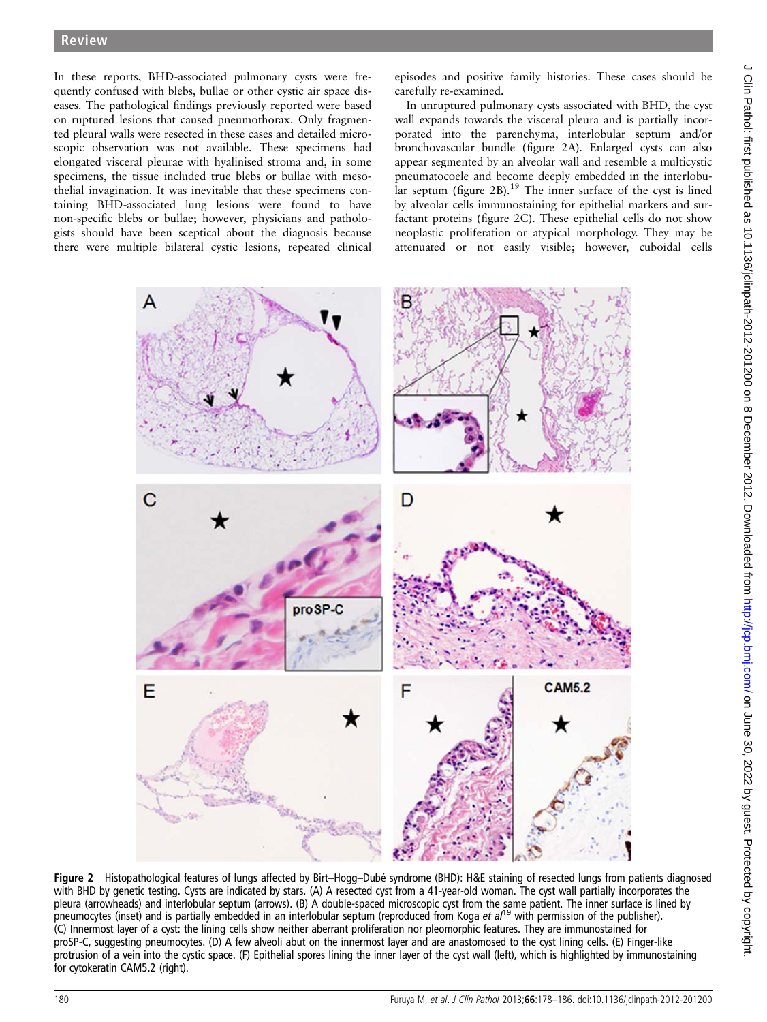In these reports, BHD-associated pulmonary cysts were frequently confused with blebs, bullae or other cystic air space diseases. The pathological findings previously reported were based on ruptured lesions that caused pneumothorax. Only fragmented pleural walls were resected in these cases and detailed microscopic observation was not available. These specimens had elongated visceral pleurae with hyalinised stroma and, in some specimens, the tissue included true blebs or bullae with mesothelial invagination. It was inevitable that these specimens containing BHD-associated lung lesions were found to have non-specific blebs or bullae; however, physicians and pathologists should have been sceptical about the diagnosis because there were multiple bilateral cystic lesions, repeated clinical

episodes and positive family histories. These cases should be carefully re-examined.

In unruptured pulmonary cysts associated with BHD, the cyst wall expands towards the visceral pleura and is partially incorporated into the parenchyma, interlobular septum and/or bronchovascular bundle (figure 2A). Enlarged cysts can also appear segmented by an alveolar wall and resemble a multicystic pneumatocoele and become deeply embedded in the interlobular septum (figure 2B).<sup>19</sup> The inner surface of the cyst is lined by alveolar cells immunostaining for epithelial markers and surfactant proteins (figure 2C). These epithelial cells do not show neoplastic proliferation or atypical morphology. They may be attenuated or not easily visible; however, cuboidal cells



Figure 2 Histopathological features of lungs affected by Birt–Hogg–Dubé syndrome (BHD): H&E staining of resected lungs from patients diagnosed with BHD by genetic testing. Cysts are indicated by stars. (A) A resected cyst from a 41-year-old woman. The cyst wall partially incorporates the pleura (arrowheads) and interlobular septum (arrows). (B) A double-spaced microscopic cyst from the same patient. The inner surface is lined by pneumocytes (inset) and is partially embedded in an interlobular septum (reproduced from Koga et  $a^{19}$  with permission of the publisher). (C) Innermost layer of a cyst: the lining cells show neither aberrant proliferation nor pleomorphic features. They are immunostained for proSP-C, suggesting pneumocytes. (D) A few alveoli abut on the innermost layer and are anastomosed to the cyst lining cells. (E) Finger-like protrusion of a vein into the cystic space. (F) Epithelial spores lining the inner layer of the cyst wall (left), which is highlighted by immunostaining for cytokeratin CAM5.2 (right).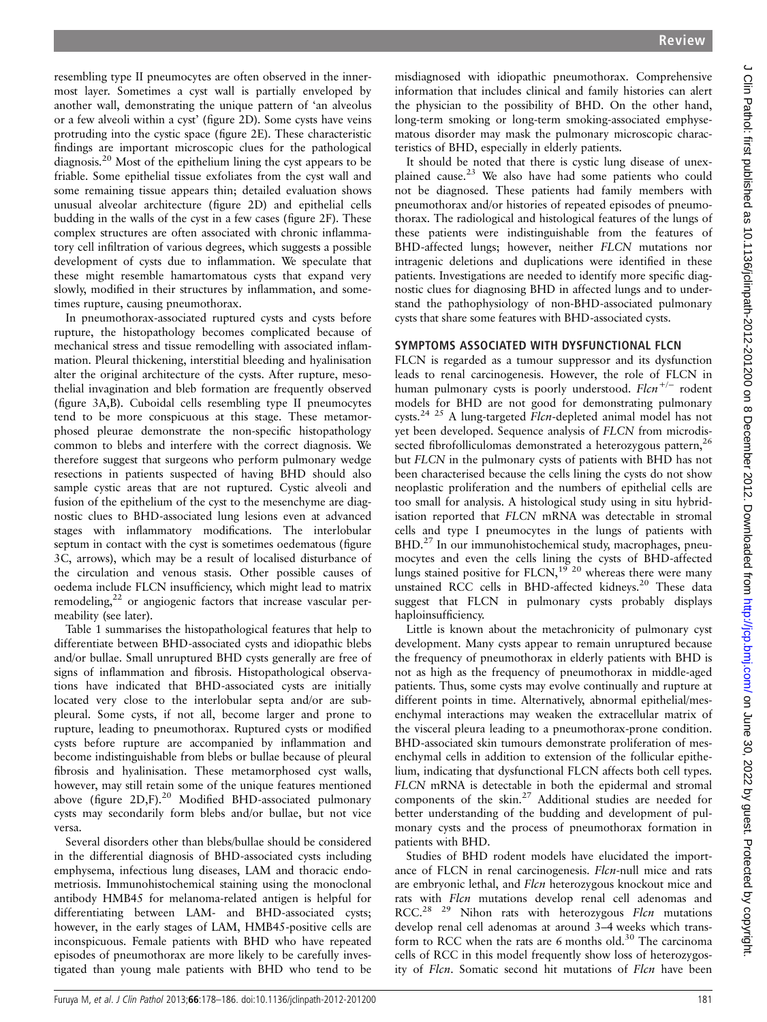resembling type II pneumocytes are often observed in the innermost layer. Sometimes a cyst wall is partially enveloped by another wall, demonstrating the unique pattern of 'an alveolus or a few alveoli within a cyst' (figure 2D). Some cysts have veins protruding into the cystic space (figure 2E). These characteristic findings are important microscopic clues for the pathological diagnosis.20 Most of the epithelium lining the cyst appears to be friable. Some epithelial tissue exfoliates from the cyst wall and some remaining tissue appears thin; detailed evaluation shows unusual alveolar architecture (figure 2D) and epithelial cells budding in the walls of the cyst in a few cases (figure 2F). These complex structures are often associated with chronic inflammatory cell infiltration of various degrees, which suggests a possible development of cysts due to inflammation. We speculate that these might resemble hamartomatous cysts that expand very slowly, modified in their structures by inflammation, and sometimes rupture, causing pneumothorax.

In pneumothorax-associated ruptured cysts and cysts before rupture, the histopathology becomes complicated because of mechanical stress and tissue remodelling with associated inflammation. Pleural thickening, interstitial bleeding and hyalinisation alter the original architecture of the cysts. After rupture, mesothelial invagination and bleb formation are frequently observed (figure 3A,B). Cuboidal cells resembling type II pneumocytes tend to be more conspicuous at this stage. These metamorphosed pleurae demonstrate the non-specific histopathology common to blebs and interfere with the correct diagnosis. We therefore suggest that surgeons who perform pulmonary wedge resections in patients suspected of having BHD should also sample cystic areas that are not ruptured. Cystic alveoli and fusion of the epithelium of the cyst to the mesenchyme are diagnostic clues to BHD-associated lung lesions even at advanced stages with inflammatory modifications. The interlobular septum in contact with the cyst is sometimes oedematous (figure 3C, arrows), which may be a result of localised disturbance of the circulation and venous stasis. Other possible causes of oedema include FLCN insufficiency, which might lead to matrix remodeling,<sup>22</sup> or angiogenic factors that increase vascular permeability (see later).

Table 1 summarises the histopathological features that help to differentiate between BHD-associated cysts and idiopathic blebs and/or bullae. Small unruptured BHD cysts generally are free of signs of inflammation and fibrosis. Histopathological observations have indicated that BHD-associated cysts are initially located very close to the interlobular septa and/or are subpleural. Some cysts, if not all, become larger and prone to rupture, leading to pneumothorax. Ruptured cysts or modified cysts before rupture are accompanied by inflammation and become indistinguishable from blebs or bullae because of pleural fibrosis and hyalinisation. These metamorphosed cyst walls, however, may still retain some of the unique features mentioned above (figure 2D,F).<sup>20</sup> Modified BHD-associated pulmonary cysts may secondarily form blebs and/or bullae, but not vice versa.

Several disorders other than blebs/bullae should be considered in the differential diagnosis of BHD-associated cysts including emphysema, infectious lung diseases, LAM and thoracic endometriosis. Immunohistochemical staining using the monoclonal antibody HMB45 for melanoma-related antigen is helpful for differentiating between LAM- and BHD-associated cysts; however, in the early stages of LAM, HMB45-positive cells are inconspicuous. Female patients with BHD who have repeated episodes of pneumothorax are more likely to be carefully investigated than young male patients with BHD who tend to be

misdiagnosed with idiopathic pneumothorax. Comprehensive information that includes clinical and family histories can alert the physician to the possibility of BHD. On the other hand, long-term smoking or long-term smoking-associated emphysematous disorder may mask the pulmonary microscopic characteristics of BHD, especially in elderly patients.

It should be noted that there is cystic lung disease of unexplained cause.23 We also have had some patients who could not be diagnosed. These patients had family members with pneumothorax and/or histories of repeated episodes of pneumothorax. The radiological and histological features of the lungs of these patients were indistinguishable from the features of BHD-affected lungs; however, neither FLCN mutations nor intragenic deletions and duplications were identified in these patients. Investigations are needed to identify more specific diagnostic clues for diagnosing BHD in affected lungs and to understand the pathophysiology of non-BHD-associated pulmonary cysts that share some features with BHD-associated cysts.

## SYMPTOMS ASSOCIATED WITH DYSFUNCTIONAL FLCN

FLCN is regarded as a tumour suppressor and its dysfunction leads to renal carcinogenesis. However, the role of FLCN in human pulmonary cysts is poorly understood. Flcn<sup>+/−</sup> rodent models for BHD are not good for demonstrating pulmonary cysts.24 25 A lung-targeted Flcn-depleted animal model has not yet been developed. Sequence analysis of FLCN from microdissected fibrofolliculomas demonstrated a heterozygous pattern,<sup>26</sup> but FLCN in the pulmonary cysts of patients with BHD has not been characterised because the cells lining the cysts do not show neoplastic proliferation and the numbers of epithelial cells are too small for analysis. A histological study using in situ hybridisation reported that FLCN mRNA was detectable in stromal cells and type I pneumocytes in the lungs of patients with BHD.<sup>27</sup> In our immunohistochemical study, macrophages, pneumocytes and even the cells lining the cysts of BHD-affected lungs stained positive for FLCN,  $19^{3}$  <sup>20</sup> whereas there were many unstained RCC cells in BHD-affected kidneys.<sup>20</sup> These data suggest that FLCN in pulmonary cysts probably displays haploinsufficiency.

Little is known about the metachronicity of pulmonary cyst development. Many cysts appear to remain unruptured because the frequency of pneumothorax in elderly patients with BHD is not as high as the frequency of pneumothorax in middle-aged patients. Thus, some cysts may evolve continually and rupture at different points in time. Alternatively, abnormal epithelial/mesenchymal interactions may weaken the extracellular matrix of the visceral pleura leading to a pneumothorax-prone condition. BHD-associated skin tumours demonstrate proliferation of mesenchymal cells in addition to extension of the follicular epithelium, indicating that dysfunctional FLCN affects both cell types. FLCN mRNA is detectable in both the epidermal and stromal components of the skin.<sup>27</sup> Additional studies are needed for better understanding of the budding and development of pulmonary cysts and the process of pneumothorax formation in patients with BHD.

Studies of BHD rodent models have elucidated the importance of FLCN in renal carcinogenesis. Flcn-null mice and rats are embryonic lethal, and Flcn heterozygous knockout mice and rats with Flcn mutations develop renal cell adenomas and rats with *Flcn* mutations develop renal cell adenomas and  $RCC^{28-29}$  Nibon rats with heterozygous *Flcu* mutations RCC.<sup>28 29</sup> Nihon rats with heterozygous *Flcn* mutations<br>develop repal cell adenomas at around  $3-4$  weeks which transdevelop renal cell adenomas at around 3–4 weeks which transform to RCC when the rats are 6 months old. $30$  The carcinoma cells of RCC in this model frequently show loss of heterozygosity of Flcn. Somatic second hit mutations of Flcn have been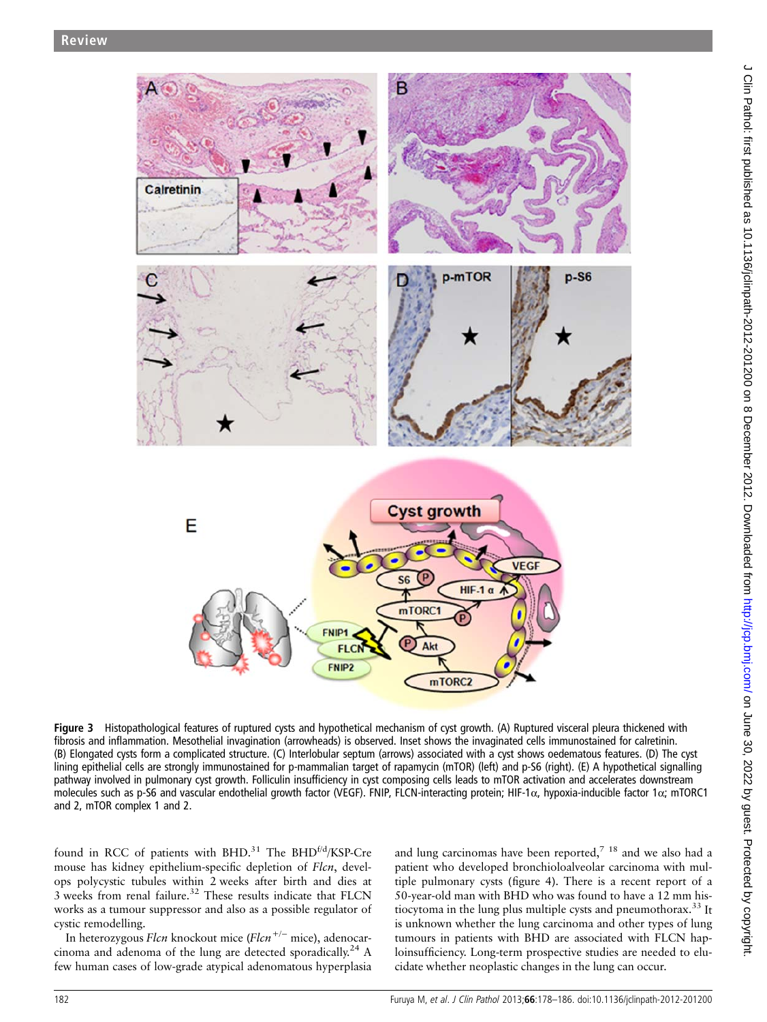

Figure 3 Histopathological features of ruptured cysts and hypothetical mechanism of cyst growth. (A) Ruptured visceral pleura thickened with fibrosis and inflammation. Mesothelial invagination (arrowheads) is observed. Inset shows the invaginated cells immunostained for calretinin. (B) Elongated cysts form a complicated structure. (C) Interlobular septum (arrows) associated with a cyst shows oedematous features. (D) The cyst lining epithelial cells are strongly immunostained for p-mammalian target of rapamycin (mTOR) (left) and p-S6 (right). (E) A hypothetical signalling pathway involved in pulmonary cyst growth. Folliculin insufficiency in cyst composing cells leads to mTOR activation and accelerates downstream molecules such as p-S6 and vascular endothelial growth factor (VEGF). FNIP, FLCN-interacting protein; HIF-1α, hypoxia-inducible factor 1α; mTORC1 and 2, mTOR complex 1 and 2.

found in RCC of patients with BHD.<sup>31</sup> The BHD<sup>f/d</sup>/KSP-Cre mouse has kidney epithelium-specific depletion of Flcn, develops polycystic tubules within 2 weeks after birth and dies at 3 weeks from renal failure.<sup>32</sup> These results indicate that FLCN works as a tumour suppressor and also as a possible regulator of cystic remodelling.

In heterozygous Flcn knockout mice (Flcn+/<sup>−</sup> mice), adenocarcinoma and adenoma of the lung are detected sporadically.<sup>24</sup> A few human cases of low-grade atypical adenomatous hyperplasia and lung carcinomas have been reported,<sup>7</sup> <sup>18</sup> and we also had a patient who developed bronchioloalveolar carcinoma with multiple pulmonary cysts (figure 4). There is a recent report of a 50-year-old man with BHD who was found to have a 12 mm histiocytoma in the lung plus multiple cysts and pneumothorax.<sup>33</sup> It is unknown whether the lung carcinoma and other types of lung tumours in patients with BHD are associated with FLCN haploinsufficiency. Long-term prospective studies are needed to elucidate whether neoplastic changes in the lung can occur.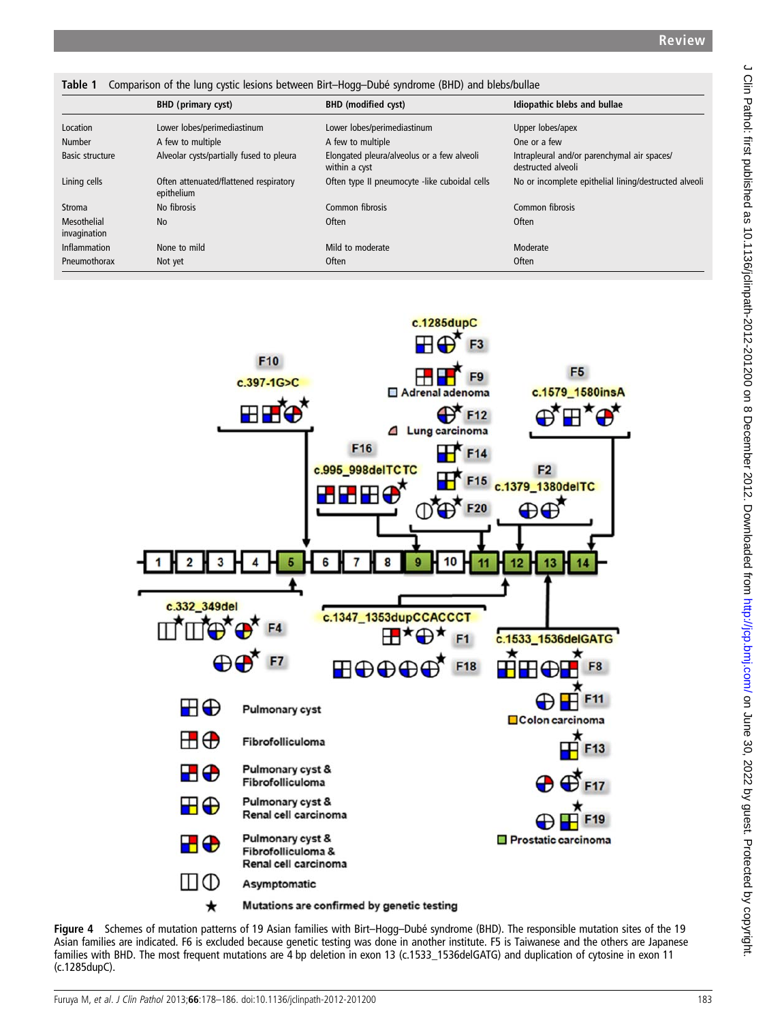Table 1 Comparison of the lung cystic lesions between Birt–Hogg–Dubé syndrome (BHD) and blebs/bullae

|                             | <b>BHD</b> (primary cyst)                            | <b>BHD</b> (modified cyst)                                  | Idiopathic blebs and bullae                                       |
|-----------------------------|------------------------------------------------------|-------------------------------------------------------------|-------------------------------------------------------------------|
| Location                    | Lower lobes/perimediastinum                          | Lower lobes/perimediastinum                                 | Upper lobes/apex                                                  |
| <b>Number</b>               | A few to multiple                                    | A few to multiple                                           | One or a few                                                      |
| Basic structure             | Alveolar cysts/partially fused to pleura             | Elongated pleura/alveolus or a few alveoli<br>within a cyst | Intrapleural and/or parenchymal air spaces/<br>destructed alveoli |
| Lining cells                | Often attenuated/flattened respiratory<br>epithelium | Often type II pneumocyte -like cuboidal cells               | No or incomplete epithelial lining/destructed alveoli             |
| Stroma                      | No fibrosis                                          | Common fibrosis                                             | Common fibrosis                                                   |
| Mesothelial<br>invagination | <b>No</b>                                            | <b>Often</b>                                                | Often                                                             |
| Inflammation                | None to mild                                         | Mild to moderate                                            | Moderate                                                          |
| Pneumothorax                | Not yet                                              | <b>Often</b>                                                | <b>Often</b>                                                      |



Figure 4 Schemes of mutation patterns of 19 Asian families with Birt–Hogg–Dubé syndrome (BHD). The responsible mutation sites of the 19 Asian families are indicated. F6 is excluded because genetic testing was done in another institute. F5 is Taiwanese and the others are Japanese families with BHD. The most frequent mutations are 4 bp deletion in exon 13 (c.1533\_1536delGATG) and duplication of cytosine in exon 11 (c.1285dupC).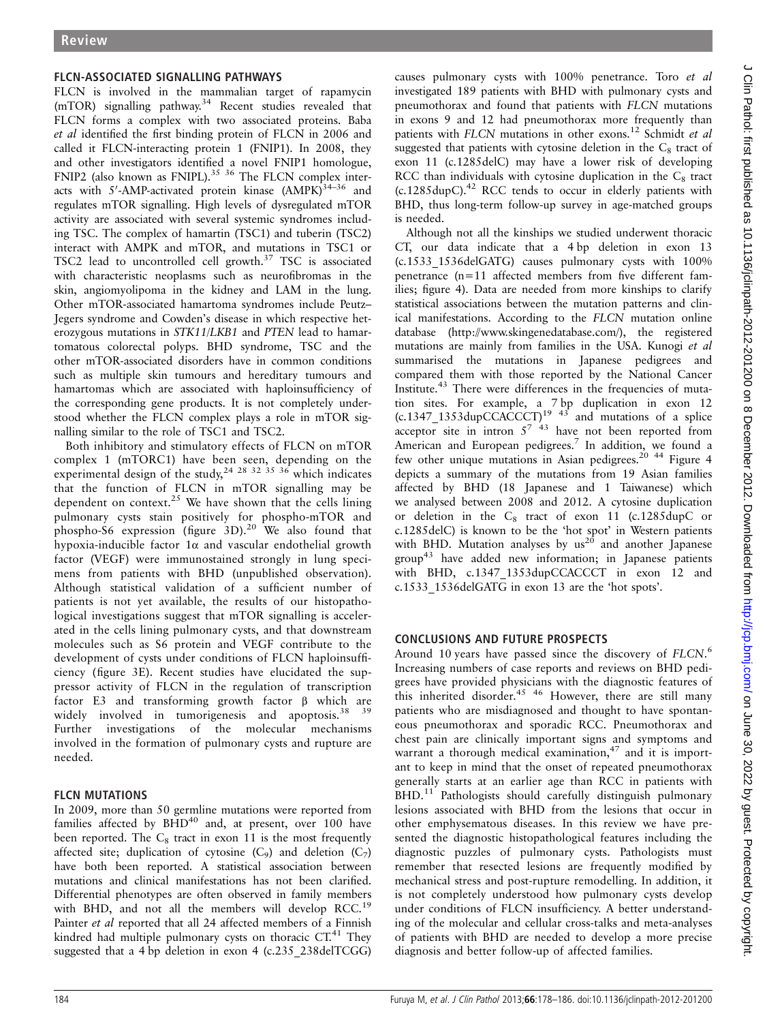## FLCN-ASSOCIATED SIGNALLING PATHWAYS

FLCN is involved in the mammalian target of rapamycin (mTOR) signalling pathway.<sup>34</sup> Recent studies revealed that FLCN forms a complex with two associated proteins. Baba et al identified the first binding protein of FLCN in 2006 and called it FLCN-interacting protein 1 (FNIP1). In 2008, they and other investigators identified a novel FNIP1 homologue, FNIP2 (also known as FNIPL). $35 \times 36$  The FLCN complex interacts with  $5'$ -AMP-activated protein kinase  $(AMPK)^{34-36}$  and regulates mTOR signalling. High levels of dysregulated mTOR activity are associated with several systemic syndromes including TSC. The complex of hamartin (TSC1) and tuberin (TSC2) interact with AMPK and mTOR, and mutations in TSC1 or TSC2 lead to uncontrolled cell growth.<sup>37</sup> TSC is associated with characteristic neoplasms such as neurofibromas in the skin, angiomyolipoma in the kidney and LAM in the lung. Other mTOR-associated hamartoma syndromes include Peutz– Jegers syndrome and Cowden's disease in which respective heterozygous mutations in STK11/LKB1 and PTEN lead to hamartomatous colorectal polyps. BHD syndrome, TSC and the other mTOR-associated disorders have in common conditions such as multiple skin tumours and hereditary tumours and hamartomas which are associated with haploinsufficiency of the corresponding gene products. It is not completely understood whether the FLCN complex plays a role in mTOR signalling similar to the role of TSC1 and TSC2.

Both inhibitory and stimulatory effects of FLCN on mTOR complex 1 (mTORC1) have been seen, depending on the experimental design of the study,<sup>24 28 32 35 36</sup> which indicates that the function of FLCN in mTOR signalling may be dependent on context.<sup>25</sup> We have shown that the cells lining pulmonary cysts stain positively for phospho-mTOR and phospho-S6 expression (figure 3D).<sup>20</sup> We also found that hypoxia-inducible factor  $1\alpha$  and vascular endothelial growth factor (VEGF) were immunostained strongly in lung specimens from patients with BHD (unpublished observation). Although statistical validation of a sufficient number of patients is not yet available, the results of our histopathological investigations suggest that mTOR signalling is accelerated in the cells lining pulmonary cysts, and that downstream molecules such as S6 protein and VEGF contribute to the development of cysts under conditions of FLCN haploinsufficiency (figure 3E). Recent studies have elucidated the suppressor activity of FLCN in the regulation of transcription factor E3 and transforming growth factor β which are widely involved in tumorigenesis and apoptosis.<sup>38</sup> <sup>39</sup> Further investigations of the molecular mechanisms involved in the formation of pulmonary cysts and rupture are needed.

# FLCN MUTATIONS

In 2009, more than 50 germline mutations were reported from families affected by  $\overline{BHD}^{40}$  and, at present, over 100 have been reported. The  $C_8$  tract in exon 11 is the most frequently affected site; duplication of cytosine  $(C_9)$  and deletion  $(C_7)$ have both been reported. A statistical association between mutations and clinical manifestations has not been clarified. Differential phenotypes are often observed in family members with BHD, and not all the members will develop RCC.<sup>19</sup> Painter et al reported that all 24 affected members of a Finnish kindred had multiple pulmonary cysts on thoracic  $CT<sup>41</sup>$ . They suggested that a 4 bp deletion in exon 4 (c.235\_238delTCGG) causes pulmonary cysts with 100% penetrance. Toro et al investigated 189 patients with BHD with pulmonary cysts and pneumothorax and found that patients with FLCN mutations in exons 9 and 12 had pneumothorax more frequently than patients with FLCN mutations in other exons.<sup>12</sup> Schmidt et al suggested that patients with cytosine deletion in the  $C_8$  tract of exon 11 (c.1285delC) may have a lower risk of developing RCC than individuals with cytosine duplication in the  $C_8$  tract  $(c.1285 \text{dupC})$ .<sup>42</sup> RCC tends to occur in elderly patients with BHD, thus long-term follow-up survey in age-matched groups is needed.

Although not all the kinships we studied underwent thoracic CT, our data indicate that a 4 bp deletion in exon 13 (c.1533\_1536delGATG) causes pulmonary cysts with 100% penetrance (n=11 affected members from five different families; figure 4). Data are needed from more kinships to clarify statistical associations between the mutation patterns and clinical manifestations. According to the FLCN mutation online database (<http://www.skingenedatabase.com/>), the registered mutations are mainly from families in the USA. Kunogi et al summarised the mutations in Japanese pedigrees and compared them with those reported by the National Cancer Institute.<sup>43</sup> There were differences in the frequencies of mutation sites. For example, a 7 bp duplication in exon 12  $(c.1347$ <sub>1353</sub>dupCCACCCT)<sup>19 43</sup> and mutations of a splice acceptor site in intron  $5^{7}$  <sup>43</sup> have not been reported from American and European pedigrees.<sup>7</sup> In addition, we found a few other unique mutations in Asian pedigrees.<sup>20</sup><sup>44</sup> Figure 4 depicts a summary of the mutations from 19 Asian families affected by BHD (18 Japanese and 1 Taiwanese) which we analysed between 2008 and 2012. A cytosine duplication or deletion in the  $C_8$  tract of exon 11 (c.1285dupC or c.1285delC) is known to be the 'hot spot' in Western patients with BHD. Mutation analyses by  $us^{20}$  and another Japanese group43 have added new information; in Japanese patients with BHD, c.1347\_1353dupCCACCCT in exon 12 and c.1533\_1536delGATG in exon 13 are the 'hot spots'.

# CONCLUSIONS AND FUTURE PROSPECTS

Around 10 years have passed since the discovery of FLCN.<sup>6</sup><br>Increasing numbers of case reports and reviews on BHD pedi-Increasing numbers of case reports and reviews on BHD pedigrees have provided physicians with the diagnostic features of this inherited disorder.<sup>45</sup> <sup>46</sup> However, there are still many patients who are misdiagnosed and thought to have spontaneous pneumothorax and sporadic RCC. Pneumothorax and chest pain are clinically important signs and symptoms and warrant a thorough medical examination, $47$  and it is important to keep in mind that the onset of repeated pneumothorax generally starts at an earlier age than RCC in patients with  $BHD<sup>11</sup>$  Pathologists should carefully distinguish pulmonary lesions associated with BHD from the lesions that occur in other emphysematous diseases. In this review we have presented the diagnostic histopathological features including the diagnostic puzzles of pulmonary cysts. Pathologists must remember that resected lesions are frequently modified by mechanical stress and post-rupture remodelling. In addition, it is not completely understood how pulmonary cysts develop under conditions of FLCN insufficiency. A better understanding of the molecular and cellular cross-talks and meta-analyses of patients with BHD are needed to develop a more precise diagnosis and better follow-up of affected families.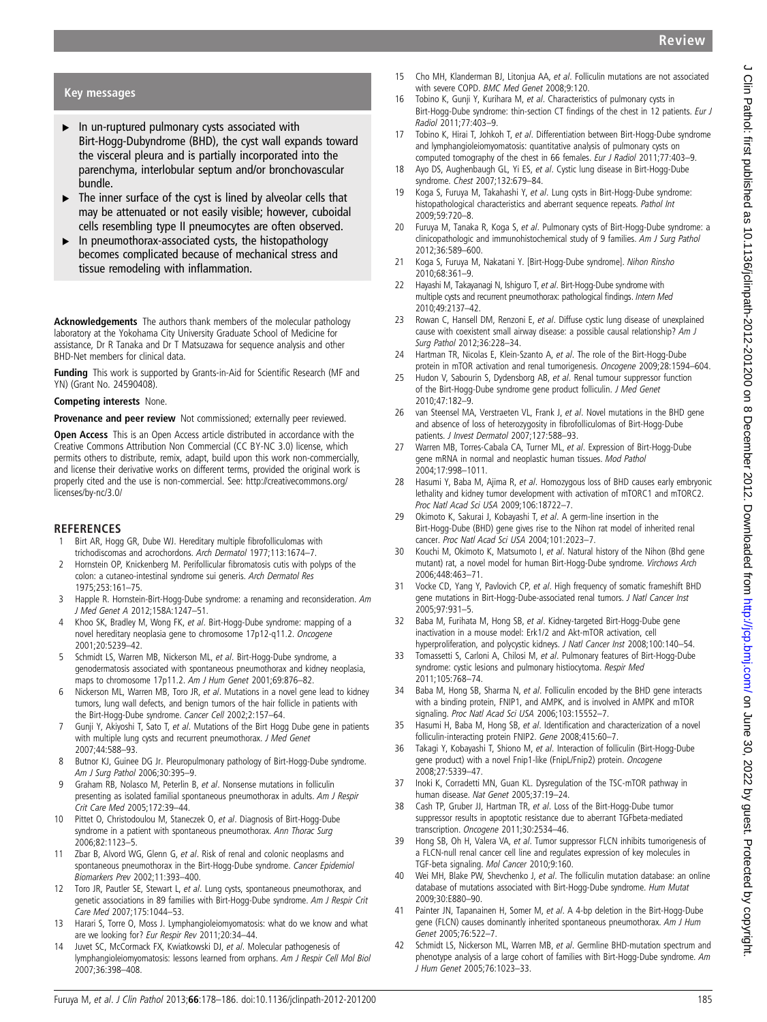### Key messages

- ▸ In un-ruptured pulmonary cysts associated with Birt-Hogg-Dubyndrome (BHD), the cyst wall expands toward the visceral pleura and is partially incorporated into the parenchyma, interlobular septum and/or bronchovascular bundle.
- $\triangleright$  The inner surface of the cyst is lined by alveolar cells that may be attenuated or not easily visible; however, cuboidal cells resembling type II pneumocytes are often observed.
- ▸ In pneumothorax-associated cysts, the histopathology becomes complicated because of mechanical stress and tissue remodeling with inflammation.

Acknowledgements The authors thank members of the molecular pathology laboratory at the Yokohama City University Graduate School of Medicine for assistance, Dr R Tanaka and Dr T Matsuzawa for sequence analysis and other BHD-Net members for clinical data.

Funding This work is supported by Grants-in-Aid for Scientific Research (MF and YN) (Grant No. 24590408).

### Competing interests None.

Provenance and peer review Not commissioned; externally peer reviewed.

Open Access This is an Open Access article distributed in accordance with the Creative Commons Attribution Non Commercial (CC BY-NC 3.0) license, which permits others to distribute, remix, adapt, build upon this work non-commercially, and license their derivative works on different terms, provided the original work is properly cited and the use is non-commercial. See: http://creativecommons.org/ licenses/by-nc/3.0/

### **REFERENCES**

- Birt AR, Hogg GR, Dube WJ. Hereditary multiple fibrofolliculomas with trichodiscomas and acrochordons. Arch Dermatol 1977;113:1674–7.
- 2 Hornstein OP, Knickenberg M. Perifollicular fibromatosis cutis with polyps of the colon: a cutaneo-intestinal syndrome sui generis. Arch Dermatol Res 1975;253:161–75.
- 3 Happle R. Hornstein-Birt-Hogg-Dube syndrome: a renaming and reconsideration. Am J Med Genet A 2012;158A:1247–51.
- 4 Khoo SK, Bradley M, Wong FK, et al. Birt-Hogg-Dube syndrome: mapping of a novel hereditary neoplasia gene to chromosome 17p12-q11.2. Oncogene 2001;20:5239–42.
- 5 Schmidt LS, Warren MB, Nickerson ML, et al. Birt-Hogg-Dube syndrome, a genodermatosis associated with spontaneous pneumothorax and kidney neoplasia, maps to chromosome 17p11.2. Am J Hum Genet 2001;69:876–82.
- 6 Nickerson ML, Warren MB, Toro JR, et al. Mutations in a novel gene lead to kidney tumors, lung wall defects, and benign tumors of the hair follicle in patients with the Birt-Hogg-Dube syndrome. Cancer Cell 2002;2:157–64.
- 7 Gunji Y, Akiyoshi T, Sato T, et al. Mutations of the Birt Hogg Dube gene in patients with multiple lung cysts and recurrent pneumothorax. J Med Genet 2007;44:588–93.
- 8 Butnor KJ, Guinee DG Jr. Pleuropulmonary pathology of Birt-Hogg-Dube syndrome. Am J Surg Pathol 2006;30:395–9.
- 9 Graham RB, Nolasco M, Peterlin B, et al. Nonsense mutations in folliculin presenting as isolated familial spontaneous pneumothorax in adults. Am J Respir Crit Care Med 2005;172:39–44.
- 10 Pittet O, Christodoulou M, Staneczek O, et al. Diagnosis of Birt-Hogg-Dube syndrome in a patient with spontaneous pneumothorax. Ann Thorac Surg 2006;82:1123–5.
- 11 Zbar B, Alvord WG, Glenn G, et al. Risk of renal and colonic neoplasms and spontaneous pneumothorax in the Birt-Hogg-Dube syndrome. Cancer Epidemiol Biomarkers Prev 2002;11:393–400.
- 12 Toro JR, Pautler SE, Stewart L, et al. Lung cysts, spontaneous pneumothorax, and genetic associations in 89 families with Birt-Hogg-Dube syndrome. Am J Respir Crit Care Med 2007;175:1044–53.
- 13 Harari S, Torre O, Moss J. Lymphangioleiomyomatosis: what do we know and what are we looking for? Eur Respir Rev 2011;20:34–44.
- 14 Juvet SC, McCormack FX, Kwiatkowski DJ, et al. Molecular pathogenesis of lymphangioleiomyomatosis: lessons learned from orphans. Am J Respir Cell Mol Biol 2007;36:398–408.
- 15 Cho MH, Klanderman BJ, Litonjua AA, et al. Folliculin mutations are not associated with severe COPD. BMC Med Genet 2008;9:120.
- 16 Tobino K, Gunji Y, Kurihara M, et al. Characteristics of pulmonary cysts in Birt-Hogg-Dube syndrome: thin-section CT findings of the chest in 12 patients. Eur J Radiol 2011;77:403–9.
- 17 Tobino K, Hirai T, Johkoh T, et al. Differentiation between Birt-Hogg-Dube syndrome and lymphangioleiomyomatosis: quantitative analysis of pulmonary cysts on computed tomography of the chest in 66 females. Eur J Radiol 2011;77:403–9.
- 18 Ayo DS, Aughenbaugh GL, Yi ES, et al. Cystic lung disease in Birt-Hogg-Dube syndrome. Chest 2007;132:679–84.
- 19 Koga S, Furuya M, Takahashi Y, et al. Lung cysts in Birt-Hogg-Dube syndrome: histopathological characteristics and aberrant sequence repeats. Pathol Int 2009;59:720–8.
- 20 Furuya M, Tanaka R, Koga S, et al. Pulmonary cysts of Birt-Hogg-Dube syndrome: a clinicopathologic and immunohistochemical study of 9 families. Am J Surg Pathol 2012;36:589–600.
- 21 Koga S, Furuya M, Nakatani Y. [Birt-Hogg-Dube syndrome]. Nihon Rinsho 2010;68:361–9.
- 22 Hayashi M, Takayanagi N, Ishiguro T, et al. Birt-Hogg-Dube syndrome with multiple cysts and recurrent pneumothorax: pathological findings. Intern Med 2010;49:2137–42.
- 23 Rowan C, Hansell DM, Renzoni E, et al. Diffuse cystic lung disease of unexplained cause with coexistent small airway disease: a possible causal relationship? Am J Surg Pathol 2012;36:228–34.
- 24 Hartman TR, Nicolas E, Klein-Szanto A, et al. The role of the Birt-Hogg-Dube protein in mTOR activation and renal tumorigenesis. Oncogene 2009;28:1594-604.
- 25 Hudon V, Sabourin S, Dydensborg AB, et al. Renal tumour suppressor function of the Birt-Hogg-Dube syndrome gene product folliculin. J Med Genet 2010;47:182–9.
- 26 van Steensel MA, Verstraeten VL, Frank J, et al. Novel mutations in the BHD gene and absence of loss of heterozygosity in fibrofolliculomas of Birt-Hogg-Dube patients. J Invest Dermatol 2007;127:588-93.
- 27 Warren MB, Torres-Cabala CA, Turner ML, et al. Expression of Birt-Hogg-Dube gene mRNA in normal and neoplastic human tissues. Mod Pathol 2004;17:998–1011.
- 28 Hasumi Y, Baba M, Ajima R, et al. Homozygous loss of BHD causes early embryonic lethality and kidney tumor development with activation of mTORC1 and mTORC2. Proc Natl Acad Sci USA 2009;106:18722–7.
- 29 Okimoto K, Sakurai J, Kobayashi T, et al. A germ-line insertion in the Birt-Hogg-Dube (BHD) gene gives rise to the Nihon rat model of inherited renal cancer. Proc Natl Acad Sci USA 2004;101:2023–7.
- 30 Kouchi M, Okimoto K, Matsumoto I, et al. Natural history of the Nihon (Bhd gene mutant) rat, a novel model for human Birt-Hogg-Dube syndrome. Virchows Arch 2006;448:463–71.
- 31 Vocke CD, Yang Y, Pavlovich CP, et al. High frequency of somatic frameshift BHD gene mutations in Birt-Hogg-Dube-associated renal tumors. J Natl Cancer Inst 2005;97:931–5.
- 32 Baba M, Furihata M, Hong SB, et al. Kidney-targeted Birt-Hogg-Dube gene inactivation in a mouse model: Erk1/2 and Akt-mTOR activation, cell hyperproliferation, and polycystic kidneys. J Natl Cancer Inst 2008;100:140–54.
- 33 Tomassetti S, Carloni A, Chilosi M, et al. Pulmonary features of Birt-Hogg-Dube syndrome: cystic lesions and pulmonary histiocytoma. Respir Med 2011;105:768–74.
- 34 Baba M, Hong SB, Sharma N, et al. Folliculin encoded by the BHD gene interacts with a binding protein, FNIP1, and AMPK, and is involved in AMPK and mTOR signaling. Proc Natl Acad Sci USA 2006;103:15552–7.
- 35 Hasumi H, Baba M, Hong SB, et al. Identification and characterization of a novel folliculin-interacting protein FNIP2. Gene 2008;415:60–7.
- 36 Takagi Y, Kobayashi T, Shiono M, et al. Interaction of folliculin (Birt-Hogg-Dube gene product) with a novel Fnip1-like (FnipL/Fnip2) protein. Oncogene 2008;27:5339–47.
- 37 Inoki K, Corradetti MN, Guan KL. Dysregulation of the TSC-mTOR pathway in human disease. Nat Genet 2005;37:19–24.
- 38 Cash TP, Gruber JJ, Hartman TR, et al. Loss of the Birt-Hogg-Dube tumor suppressor results in apoptotic resistance due to aberrant TGFbeta-mediated transcription. Oncogene 2011;30:2534–46.
- 39 Hong SB, Oh H, Valera VA, et al. Tumor suppressor FLCN inhibits tumorigenesis of a FLCN-null renal cancer cell line and regulates expression of key molecules in TGF-beta signaling. Mol Cancer 2010;9:160.
- 40 Wei MH, Blake PW, Shevchenko J, et al. The folliculin mutation database: an online database of mutations associated with Birt-Hogg-Dube syndrome. Hum Mutat 2009;30:E880–90.
- 41 Painter JN, Tapanainen H, Somer M, et al. A 4-bp deletion in the Birt-Hogg-Dube gene (FLCN) causes dominantly inherited spontaneous pneumothorax. Am J Hum Genet 2005;76:522–7.
- 42 Schmidt LS, Nickerson ML, Warren MB, et al. Germline BHD-mutation spectrum and phenotype analysis of a large cohort of families with Birt-Hogg-Dube syndrome. Am J Hum Genet 2005;76:1023–33.